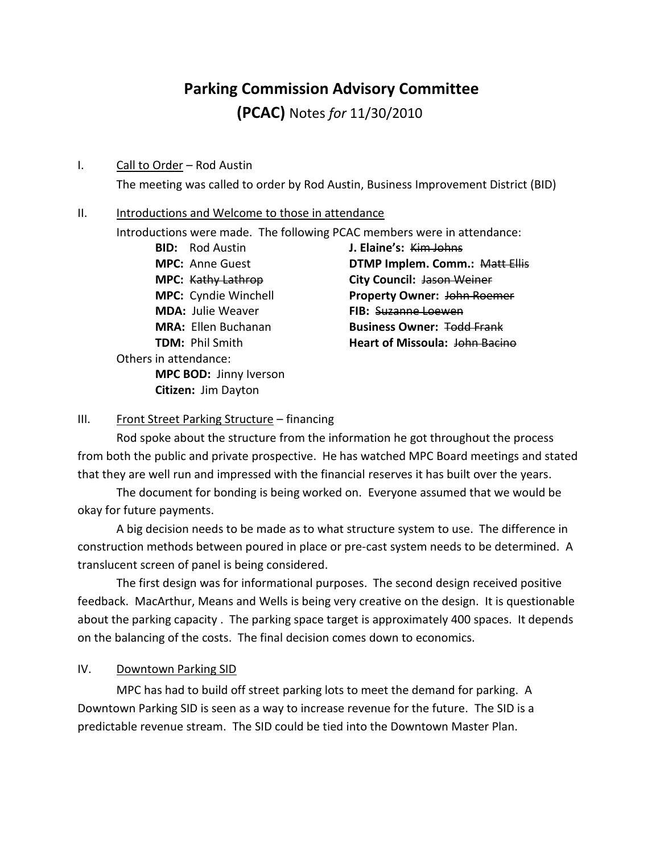# **Parking Commission Advisory Committee**

**(PCAC)** Notes *for* 11/30/2010

#### I. Call to Order – Rod Austin

The meeting was called to order by Rod Austin, Business Improvement District (BID)

#### II. Introductions and Welcome to those in attendance

Introductions were made. The following PCAC members were in attendance:

**BID:** Rod Austin **J. Elaine's:** Kim Johns **MDA:** Julie Weaver **FIB:** Suzanne Loewen Others in attendance: **MPC BOD:** Jinny Iverson **Citizen:** Jim Dayton

**MPC:** Anne Guest **DTMP Implem. Comm.:** Matt Ellis **MPC:** Kathy Lathrop **City Council:** Jason Weiner **MPC:** Cyndie Winchell **Property Owner:** John Roemer **MRA:** Ellen Buchanan **Business Owner:** Todd Frank **TDM:** Phil Smith **Heart of Missoula:** John Bacino

### III. Front Street Parking Structure – financing

Rod spoke about the structure from the information he got throughout the process from both the public and private prospective. He has watched MPC Board meetings and stated that they are well run and impressed with the financial reserves it has built over the years.

The document for bonding is being worked on. Everyone assumed that we would be okay for future payments.

A big decision needs to be made as to what structure system to use. The difference in construction methods between poured in place or pre-cast system needs to be determined. A translucent screen of panel is being considered.

The first design was for informational purposes. The second design received positive feedback. MacArthur, Means and Wells is being very creative on the design. It is questionable about the parking capacity . The parking space target is approximately 400 spaces. It depends on the balancing of the costs. The final decision comes down to economics.

### IV. Downtown Parking SID

MPC has had to build off street parking lots to meet the demand for parking. A Downtown Parking SID is seen as a way to increase revenue for the future. The SID is a predictable revenue stream. The SID could be tied into the Downtown Master Plan.